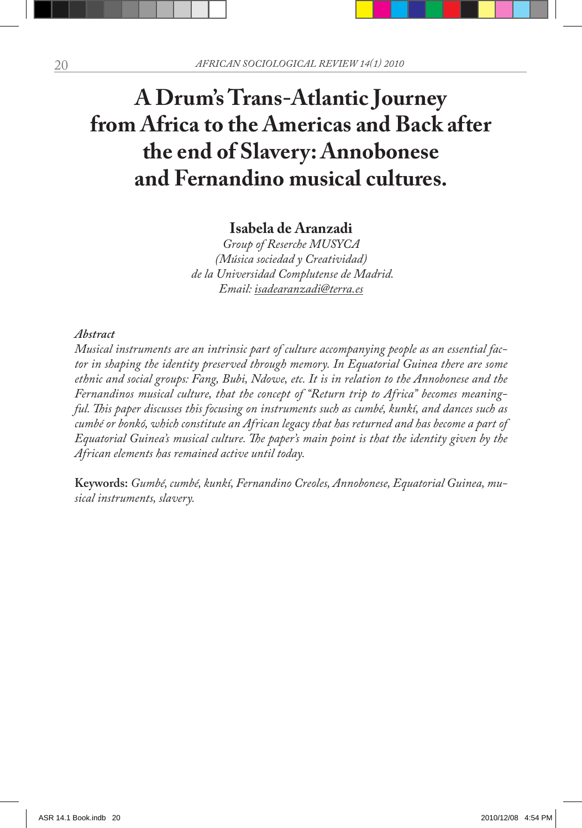# **A Drum's Trans-Atlantic Journey from Africa to the Americas and Back after the end of Slavery: Annobonese and Fernandino musical cultures.**

#### **Isabela de Aranzadi**

*Group of Reserche MUSYCA (Música sociedad y Creatividad) de la Universidad Complutense de Madrid. Email: isadearanzadi@terra.es*

#### *Abstract*

*Musical instruments are an intrinsic part of culture accompanying people as an essential factor in shaping the identity preserved through memory. In Equatorial Guinea there are some ethnic and social groups: Fang, Bubi, Ndowe, etc. It is in relation to the Annobonese and the Fernandinos musical culture, that the concept of "Return trip to Africa" becomes meaningful. This paper discusses this focusing on instruments such as cumbé, kunkí, and dances such as cumbé or bonkó, which constitute an African legacy that has returned and has become a part of Equatorial Guinea's musical culture. The paper's main point is that the identity given by the African elements has remained active until today.*

**Keywords:** *Gumbé, cumbé, kunkí, Fernandino Creoles, Annobonese, Equatorial Guinea, musical instruments, slavery.*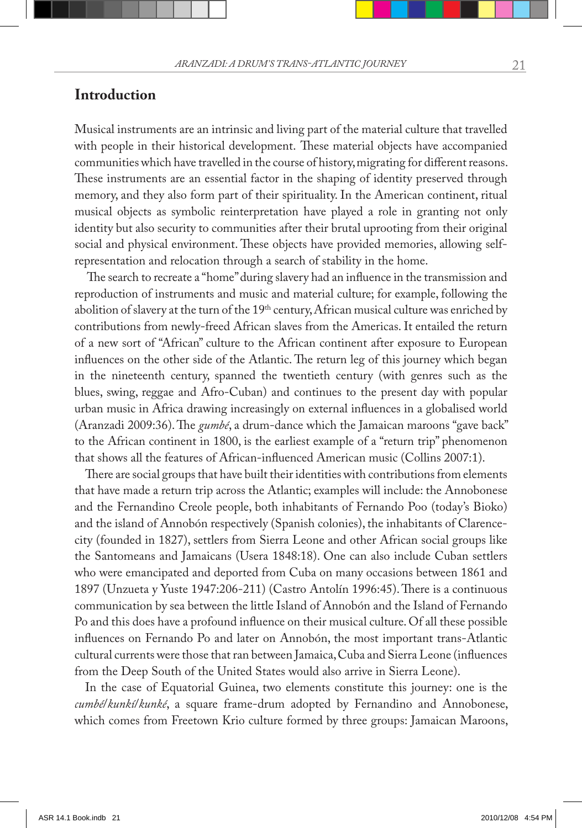## **Introduction**

Musical instruments are an intrinsic and living part of the material culture that travelled with people in their historical development. These material objects have accompanied communities which have travelled in the course of history, migrating for different reasons. These instruments are an essential factor in the shaping of identity preserved through memory, and they also form part of their spirituality. In the American continent, ritual musical objects as symbolic reinterpretation have played a role in granting not only identity but also security to communities after their brutal uprooting from their original social and physical environment. These objects have provided memories, allowing selfrepresentation and relocation through a search of stability in the home.

 The search to recreate a "home" during slavery had an influence in the transmission and reproduction of instruments and music and material culture; for example, following the abolition of slavery at the turn of the  $19<sup>th</sup>$  century, African musical culture was enriched by contributions from newly-freed African slaves from the Americas. It entailed the return of a new sort of "African" culture to the African continent after exposure to European influences on the other side of the Atlantic. The return leg of this journey which began in the nineteenth century, spanned the twentieth century (with genres such as the blues, swing, reggae and Afro-Cuban) and continues to the present day with popular urban music in Africa drawing increasingly on external influences in a globalised world (Aranzadi 2009:36). The *gumbé*, a drum-dance which the Jamaican maroons "gave back" to the African continent in 1800, is the earliest example of a "return trip" phenomenon that shows all the features of African-influenced American music (Collins 2007:1).

There are social groups that have built their identities with contributions from elements that have made a return trip across the Atlantic; examples will include: the Annobonese and the Fernandino Creole people, both inhabitants of Fernando Poo (today's Bioko) and the island of Annobón respectively (Spanish colonies), the inhabitants of Clarencecity (founded in 1827), settlers from Sierra Leone and other African social groups like the Santomeans and Jamaicans (Usera 1848:18). One can also include Cuban settlers who were emancipated and deported from Cuba on many occasions between 1861 and 1897 (Unzueta y Yuste 1947:206-211) (Castro Antolín 1996:45). There is a continuous communication by sea between the little Island of Annobón and the Island of Fernando Po and this does have a profound influence on their musical culture. Of all these possible influences on Fernando Po and later on Annobón, the most important trans-Atlantic cultural currents were those that ran between Jamaica, Cuba and Sierra Leone (influences from the Deep South of the United States would also arrive in Sierra Leone).

In the case of Equatorial Guinea, two elements constitute this journey: one is the *cumbé*/*kunkí*/*kunké*, a square frame-drum adopted by Fernandino and Annobonese, which comes from Freetown Krio culture formed by three groups: Jamaican Maroons,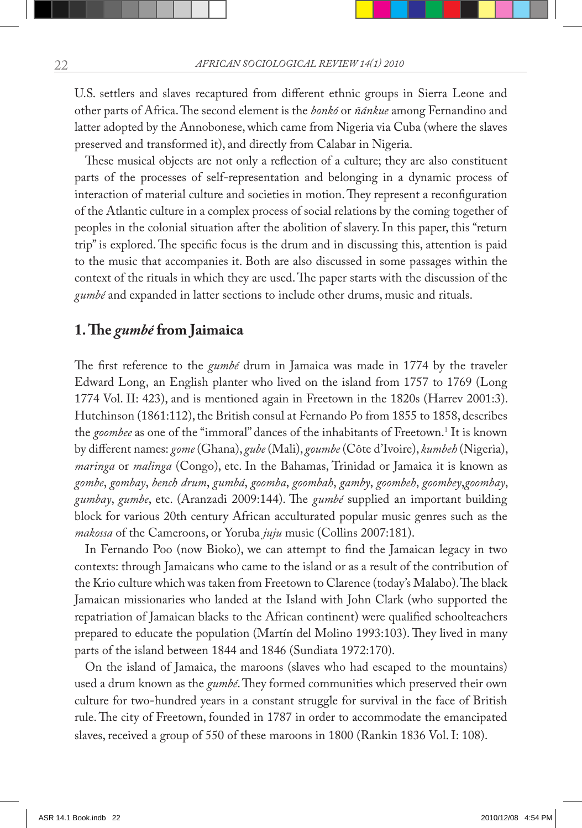U.S. settlers and slaves recaptured from different ethnic groups in Sierra Leone and other parts of Africa. The second element is the *bonkó* or *ñánkue* among Fernandino and latter adopted by the Annobonese, which came from Nigeria via Cuba (where the slaves preserved and transformed it), and directly from Calabar in Nigeria.

These musical objects are not only a reflection of a culture; they are also constituent parts of the processes of self-representation and belonging in a dynamic process of interaction of material culture and societies in motion. They represent a reconfiguration of the Atlantic culture in a complex process of social relations by the coming together of peoples in the colonial situation after the abolition of slavery. In this paper, this "return trip" is explored. The specific focus is the drum and in discussing this, attention is paid to the music that accompanies it. Both are also discussed in some passages within the context of the rituals in which they are used. The paper starts with the discussion of the *gumbé* and expanded in latter sections to include other drums, music and rituals.

#### **1. The** *gumbé* **from Jaimaica**

The first reference to the *gumbé* drum in Jamaica was made in 1774 by the traveler Edward Long, an English planter who lived on the island from 1757 to 1769 (Long 1774 Vol. II: 423), and is mentioned again in Freetown in the 1820s (Harrev 2001:3). Hutchinson (1861:112), the British consul at Fernando Po from 1855 to 1858, describes the *goombee* as one of the "immoral" dances of the inhabitants of Freetown.<sup>1</sup> It is known by different names: *gome* (Ghana), *gube* (Mali), *goumbe* (Côte d'Ivoire), *kumbeh* (Nigeria), *maringa* or *malinga* (Congo), etc. In the Bahamas, Trinidad or Jamaica it is known as *gombe*, *gombay*, *bench drum*, *gumbá*, *goomba*, *goombah*, *gamby*, *goombeh*, *goombey*,*goombay*, *gumbay*, *gumbe*, etc. (Aranzadi 2009:144). The *gumbé* supplied an important building block for various 20th century African acculturated popular music genres such as the *makossa* of the Cameroons, or Yoruba *juju* music (Collins 2007:181).

In Fernando Poo (now Bioko), we can attempt to find the Jamaican legacy in two contexts: through Jamaicans who came to the island or as a result of the contribution of the Krio culture which was taken from Freetown to Clarence (today's Malabo). The black Jamaican missionaries who landed at the Island with John Clark (who supported the repatriation of Jamaican blacks to the African continent) were qualified schoolteachers prepared to educate the population (Martín del Molino 1993:103). They lived in many parts of the island between 1844 and 1846 (Sundiata 1972:170).

On the island of Jamaica, the maroons (slaves who had escaped to the mountains) used a drum known as the *gumbé*. They formed communities which preserved their own culture for two-hundred years in a constant struggle for survival in the face of British rule. The city of Freetown, founded in 1787 in order to accommodate the emancipated slaves, received a group of 550 of these maroons in 1800 (Rankin 1836 Vol. I: 108).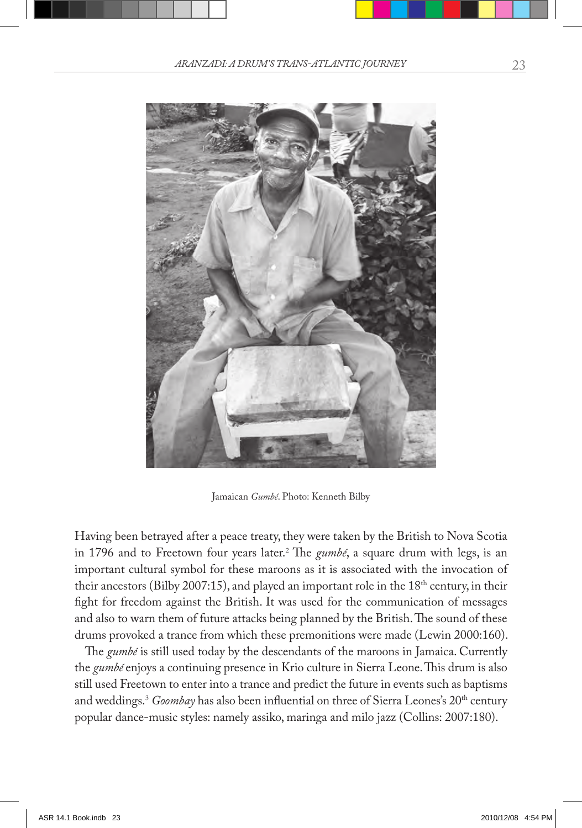

Jamaican *Gumbé*. Photo: Kenneth Bilby

Having been betrayed after a peace treaty, they were taken by the British to Nova Scotia in 1796 and to Freetown four years later.<sup>2</sup> The *gumbé*, a square drum with legs, is an important cultural symbol for these maroons as it is associated with the invocation of their ancestors (Bilby 2007:15), and played an important role in the  $18<sup>th</sup>$  century, in their fight for freedom against the British. It was used for the communication of messages and also to warn them of future attacks being planned by the British. The sound of these drums provoked a trance from which these premonitions were made (Lewin 2000:160).

The *gumbé* is still used today by the descendants of the maroons in Jamaica. Currently the *gumbé* enjoys a continuing presence in Krio culture in Sierra Leone. This drum is also still used Freetown to enter into a trance and predict the future in events such as baptisms and weddings.<sup>3</sup> *Goombay* has also been influential on three of Sierra Leones's 20<sup>th</sup> century popular dance-music styles: namely assiko, maringa and milo jazz (Collins: 2007:180).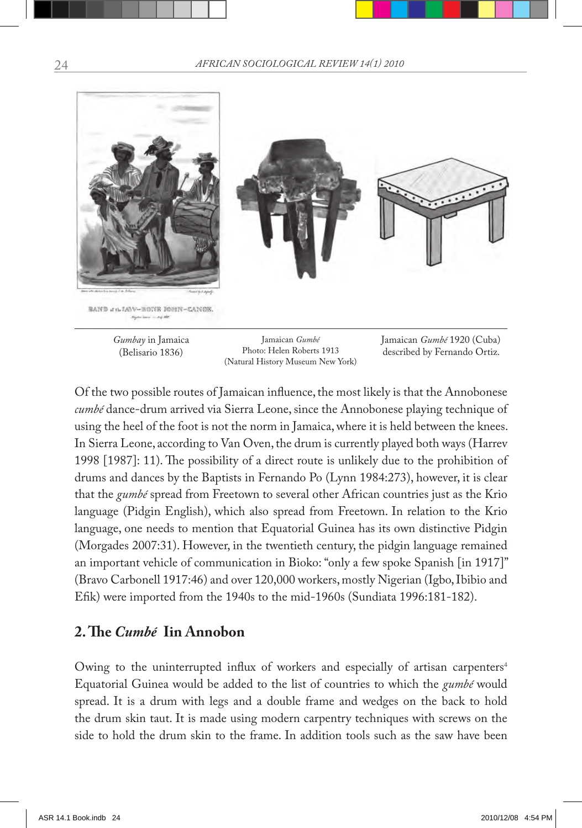

Of the two possible routes of Jamaican influence, the most likely is that the Annobonese *cumbé* dance-drum arrived via Sierra Leone, since the Annobonese playing technique of using the heel of the foot is not the norm in Jamaica, where it is held between the knees. In Sierra Leone, according to Van Oven, the drum is currently played both ways (Harrev 1998 [1987]: 11). The possibility of a direct route is unlikely due to the prohibition of drums and dances by the Baptists in Fernando Po (Lynn 1984:273), however, it is clear that the *gumbé* spread from Freetown to several other African countries just as the Krio language (Pidgin English), which also spread from Freetown. In relation to the Krio language, one needs to mention that Equatorial Guinea has its own distinctive Pidgin (Morgades 2007:31). However, in the twentieth century, the pidgin language remained an important vehicle of communication in Bioko: "only a few spoke Spanish [in 1917]" (Bravo Carbonell 1917:46) and over 120,000 workers, mostly Nigerian (Igbo, Ibibio and Efik) were imported from the 1940s to the mid-1960s (Sundiata 1996:181-182).

## **2. The** *Cumbé* **Iin Annobon**

Owing to the uninterrupted influx of workers and especially of artisan carpenters<sup>4</sup> Equatorial Guinea would be added to the list of countries to which the *gumbé* would spread. It is a drum with legs and a double frame and wedges on the back to hold the drum skin taut. It is made using modern carpentry techniques with screws on the side to hold the drum skin to the frame. In addition tools such as the saw have been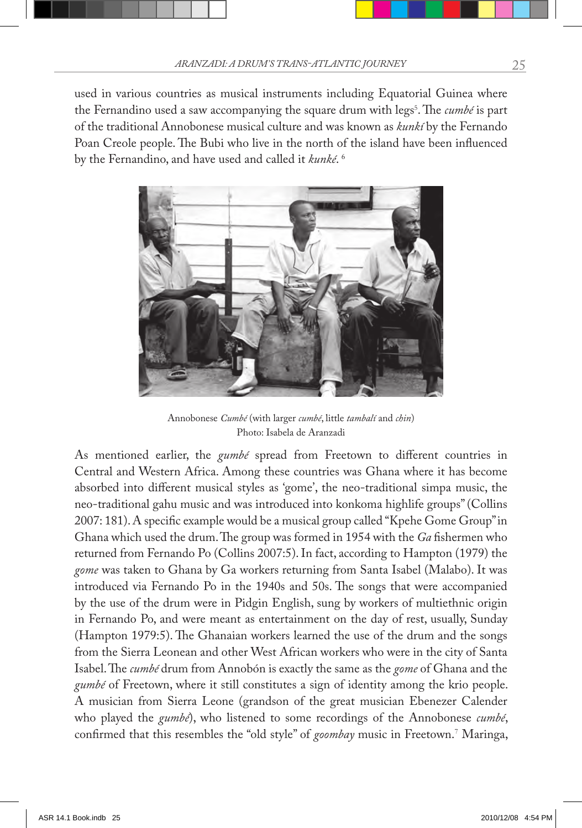used in various countries as musical instruments including Equatorial Guinea where the Fernandino used a saw accompanying the square drum with legs<sup>5</sup>. The *cumbé* is part of the traditional Annobonese musical culture and was known as *kunkí* by the Fernando Poan Creole people. The Bubi who live in the north of the island have been influenced by the Fernandino, and have used and called it *kunké*. 6



Annobonese *Cumbé* (with larger *cumbé*, little *tambalí* and *chin*) Photo: Isabela de Aranzadi

As mentioned earlier, the *gumbé* spread from Freetown to different countries in Central and Western Africa. Among these countries was Ghana where it has become absorbed into different musical styles as 'gome', the neo-traditional simpa music, the neo-traditional gahu music and was introduced into konkoma highlife groups" (Collins 2007: 181). A specific example would be a musical group called "Kpehe Gome Group" in Ghana which used the drum. The group was formed in 1954 with the *Ga* fishermen who returned from Fernando Po (Collins 2007:5). In fact, according to Hampton (1979) the *gome* was taken to Ghana by Ga workers returning from Santa Isabel (Malabo). It was introduced via Fernando Po in the 1940s and 50s. The songs that were accompanied by the use of the drum were in Pidgin English, sung by workers of multiethnic origin in Fernando Po, and were meant as entertainment on the day of rest, usually, Sunday (Hampton 1979:5). The Ghanaian workers learned the use of the drum and the songs from the Sierra Leonean and other West African workers who were in the city of Santa Isabel. The *cumbé* drum from Annobón is exactly the same as the *gome* of Ghana and the *gumbé* of Freetown, where it still constitutes a sign of identity among the krio people. A musician from Sierra Leone (grandson of the great musician Ebenezer Calender who played the *gumbé*), who listened to some recordings of the Annobonese *cumbé*, confirmed that this resembles the "old style" of *goombay* music in Freetown.<sup>7</sup> Maringa,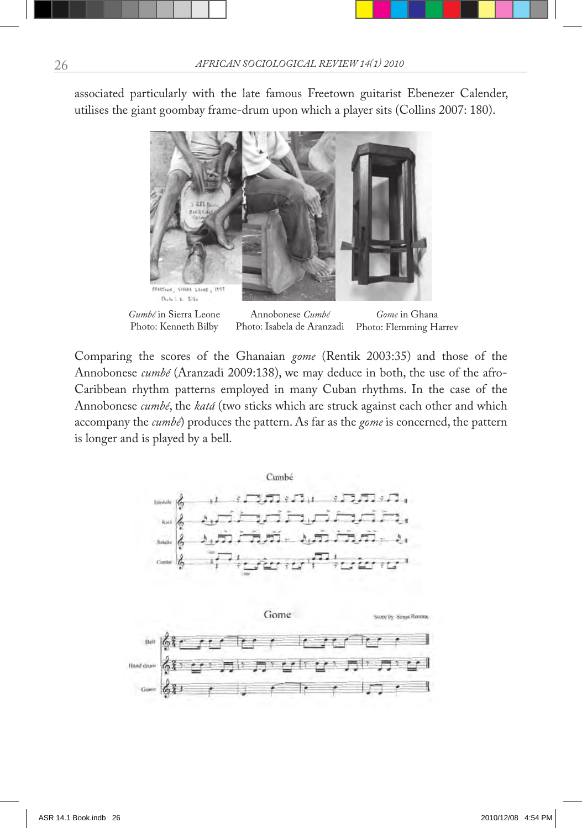associated particularly with the late famous Freetown guitarist Ebenezer Calender, utilises the giant goombay frame-drum upon which a player sits (Collins 2007: 180).



*Gumbé* in Sierra Leone Photo: Kenneth Bilby

Annobonese *Cumbé* Photo: Isabela de Aranzadi

*Gome* in Ghana Photo: Flemming Harrev

Comparing the scores of the Ghanaian *gome* (Rentik 2003:35) and those of the Annobonese *cumbé* (Aranzadi 2009:138), we may deduce in both, the use of the afro-Caribbean rhythm patterns employed in many Cuban rhythms. In the case of the Annobonese *cumbé*, the *katá* (two sticks which are struck against each other and which accompany the *cumbé*) produces the pattern. As far as the *gome* is concerned, the pattern is longer and is played by a bell.

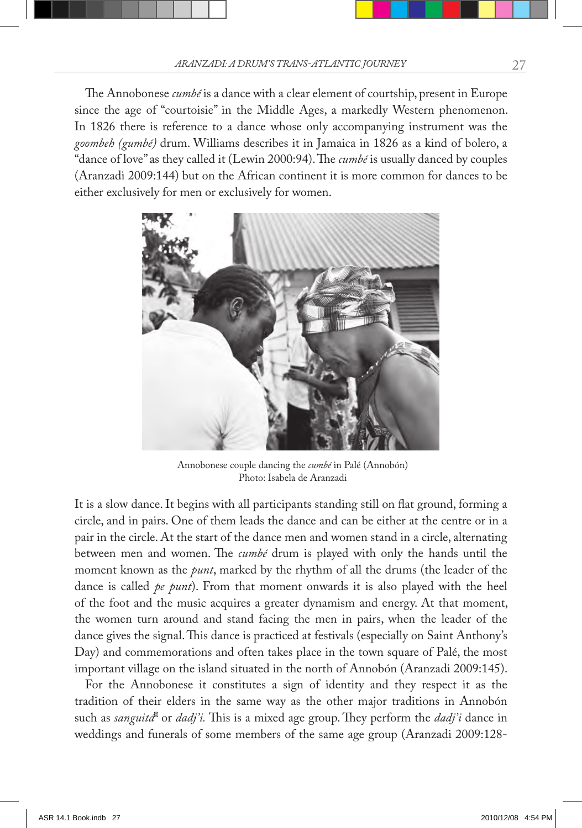The Annobonese *cumbé* is a dance with a clear element of courtship, present in Europe since the age of "courtoisie" in the Middle Ages, a markedly Western phenomenon. In 1826 there is reference to a dance whose only accompanying instrument was the *goombeh (gumbé)* drum. Williams describes it in Jamaica in 1826 as a kind of bolero, a "dance of love" as they called it (Lewin 2000:94). The *cumbé* is usually danced by couples (Aranzadi 2009:144) but on the African continent it is more common for dances to be either exclusively for men or exclusively for women.



Annobonese couple dancing the *cumbé* in Palé (Annobón) Photo: Isabela de Aranzadi

It is a slow dance. It begins with all participants standing still on flat ground, forming a circle, and in pairs. One of them leads the dance and can be either at the centre or in a pair in the circle. At the start of the dance men and women stand in a circle, alternating between men and women. The *cumbé* drum is played with only the hands until the moment known as the *punt*, marked by the rhythm of all the drums (the leader of the dance is called *pe punt*). From that moment onwards it is also played with the heel of the foot and the music acquires a greater dynamism and energy. At that moment, the women turn around and stand facing the men in pairs, when the leader of the dance gives the signal. This dance is practiced at festivals (especially on Saint Anthony's Day) and commemorations and often takes place in the town square of Palé, the most important village on the island situated in the north of Annobón (Aranzadi 2009:145).

For the Annobonese it constitutes a sign of identity and they respect it as the tradition of their elders in the same way as the other major traditions in Annobón such as *sanguitá* or *dadj'i.* This is a mixed age group. They perform the *dadj'i* dance in weddings and funerals of some members of the same age group (Aranzadi 2009:128-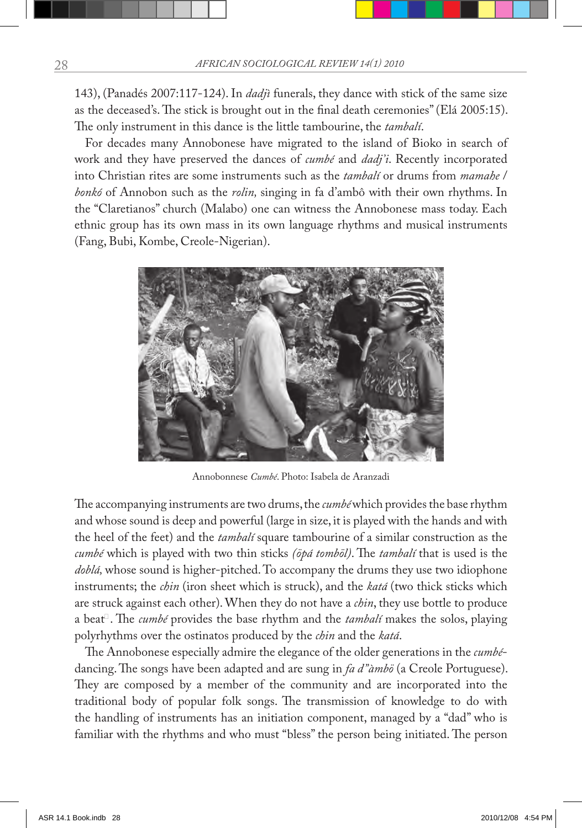143), (Panadés 2007:117-124). In *dadjì* funerals, they dance with stick of the same size as the deceased's. The stick is brought out in the final death ceremonies" (Elá 2005:15). The only instrument in this dance is the little tambourine, the *tambalí*.

For decades many Annobonese have migrated to the island of Bioko in search of work and they have preserved the dances of *cumbé* and *dadj'i*. Recently incorporated into Christian rites are some instruments such as the *tambalí* or drums from *mamahe* / *bonkó* of Annobon such as the *rolin,* singing in fa d'ambô with their own rhythms. In the "Claretianos" church (Malabo) one can witness the Annobonese mass today. Each ethnic group has its own mass in its own language rhythms and musical instruments (Fang, Bubi, Kombe, Creole-Nigerian).



Annobonnese *Cumbé*. Photo: Isabela de Aranzadi

The accompanying instruments are two drums, the *cumbé* which provides the base rhythm and whose sound is deep and powerful (large in size, it is played with the hands and with the heel of the feet) and the *tambalí* square tambourine of a similar construction as the *cumbé* which is played with two thin sticks *(öpá tomböl)*. The *tambalí* that is used is the *doblá,* whose sound is higher-pitched. To accompany the drums they use two idiophone instruments; the *chin* (iron sheet which is struck), and the *katá* (two thick sticks which are struck against each other). When they do not have a *chin*, they use bottle to produce a beat�. The *cumbé* provides the base rhythm and the *tambalí* makes the solos, playing polyrhythms over the ostinatos produced by the *chin* and the *katá*.

The Annobonese especially admire the elegance of the older generations in the *cumbé*dancing. The songs have been adapted and are sung in *fa d"àmbö* (a Creole Portuguese). They are composed by a member of the community and are incorporated into the traditional body of popular folk songs. The transmission of knowledge to do with the handling of instruments has an initiation component, managed by a "dad" who is familiar with the rhythms and who must "bless" the person being initiated. The person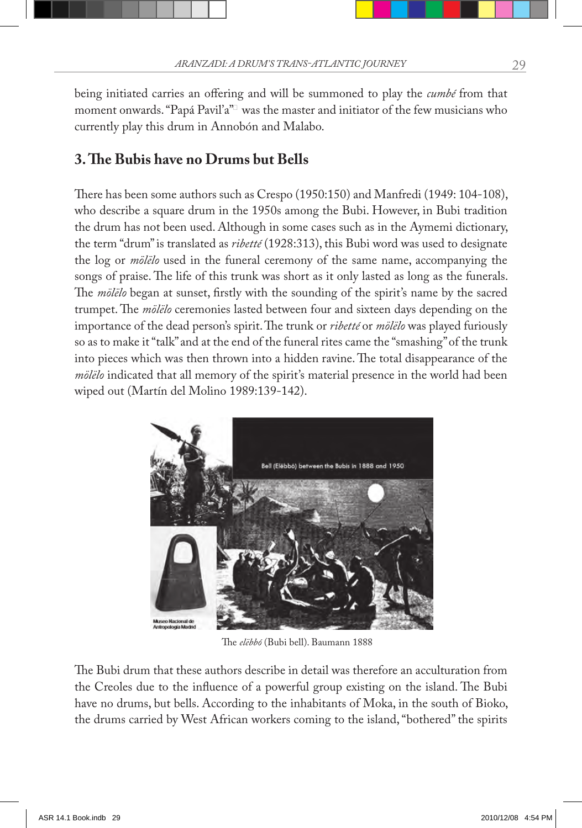being initiated carries an offering and will be summoned to play the *cumbé* from that moment onwards. "Papá Pavil'a"<sup>1</sup> was the master and initiator of the few musicians who currently play this drum in Annobón and Malabo.

# **3. The Bubis have no Drums but Bells**

There has been some authors such as Crespo (1950:150) and Manfredi (1949: 104-108), who describe a square drum in the 1950s among the Bubi. However, in Bubi tradition the drum has not been used. Although in some cases such as in the Aymemi dictionary, the term "drum" is translated as *ribetté* (1928:313), this Bubi word was used to designate the log or *mölëlo* used in the funeral ceremony of the same name, accompanying the songs of praise. The life of this trunk was short as it only lasted as long as the funerals. The *mölëlo* began at sunset, firstly with the sounding of the spirit's name by the sacred trumpet. The *mölëlo* ceremonies lasted between four and sixteen days depending on the importance of the dead person's spirit. The trunk or *ribetté* or *mölëlo* was played furiously so as to make it "talk" and at the end of the funeral rites came the "smashing" of the trunk into pieces which was then thrown into a hidden ravine. The total disappearance of the *mölëlo* indicated that all memory of the spirit's material presence in the world had been wiped out (Martín del Molino 1989:139-142).



The *elëbbó* (Bubi bell). Baumann 1888

The Bubi drum that these authors describe in detail was therefore an acculturation from the Creoles due to the influence of a powerful group existing on the island. The Bubi have no drums, but bells. According to the inhabitants of Moka, in the south of Bioko, the drums carried by West African workers coming to the island, "bothered" the spirits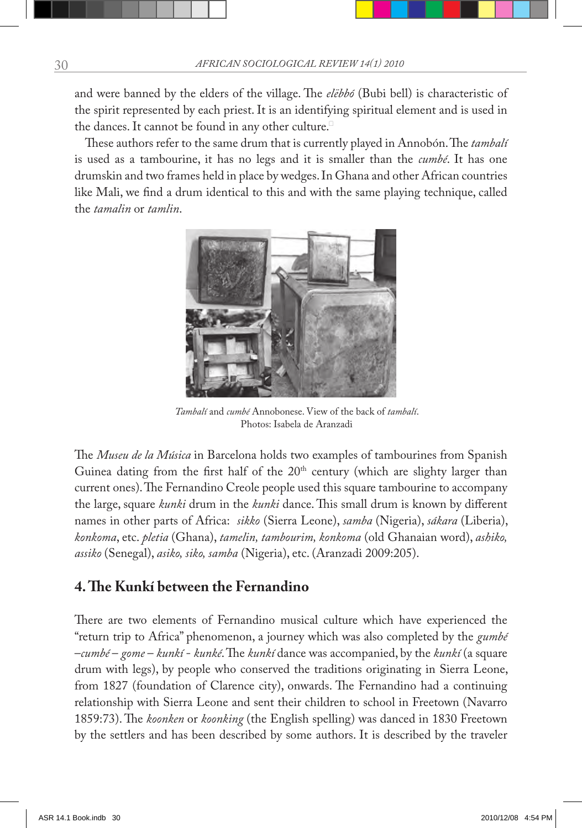and were banned by the elders of the village. The *elëbbó* (Bubi bell) is characteristic of the spirit represented by each priest. It is an identifying spiritual element and is used in the dances. It cannot be found in any other culture.<sup>11</sup>

These authors refer to the same drum that is currently played in Annobón. The *tambalí* is used as a tambourine, it has no legs and it is smaller than the *cumbé*. It has one drumskin and two frames held in place by wedges. In Ghana and other African countries like Mali, we find a drum identical to this and with the same playing technique, called the *tamalin* or *tamlin*.



*Tambalí* and *cumbé* Annobonese. View of the back of *tambalí*. Photos: Isabela de Aranzadi

The *Museu de la Música* in Barcelona holds two examples of tambourines from Spanish Guinea dating from the first half of the  $20<sup>th</sup>$  century (which are slighty larger than current ones). The Fernandino Creole people used this square tambourine to accompany the large, square *kunki* drum in the *kunki* dance. This small drum is known by different names in other parts of Africa: *sikko* (Sierra Leone), *samba* (Nigeria), *sákara* (Liberia), *konkoma*, etc. *pletia* (Ghana), *tamelin, tambourim, konkoma* (old Ghanaian word), *ashiko, assiko* (Senegal), *asiko, siko, samba* (Nigeria), etc. (Aranzadi 2009:205).

## **4. The Kunkí between the Fernandino**

There are two elements of Fernandino musical culture which have experienced the "return trip to Africa" phenomenon, a journey which was also completed by the *gumbé* –*cumbé* – *gome* – *kunkí* - *kunké*. The *kunkí* dance was accompanied, by the *kunkí* (a square drum with legs), by people who conserved the traditions originating in Sierra Leone, from 1827 (foundation of Clarence city), onwards. The Fernandino had a continuing relationship with Sierra Leone and sent their children to school in Freetown (Navarro 1859:73). The *koonken* or *koonking* (the English spelling) was danced in 1830 Freetown by the settlers and has been described by some authors. It is described by the traveler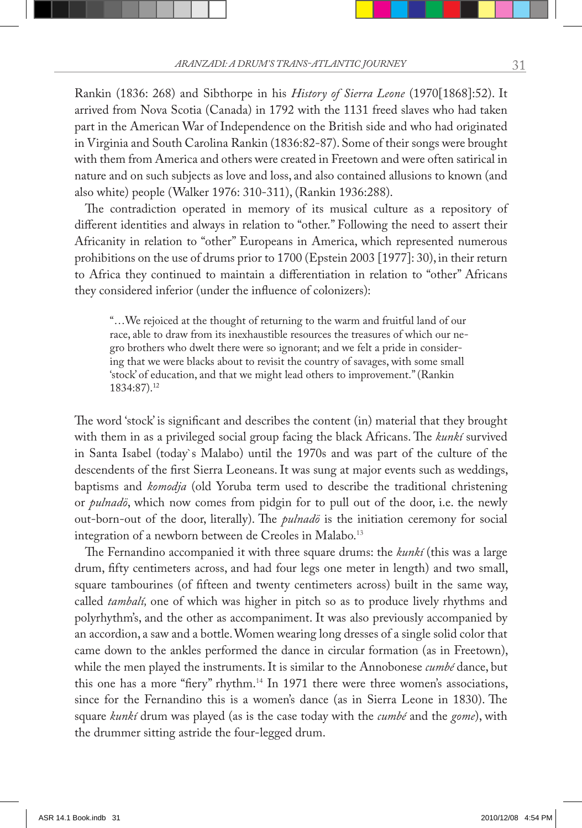Rankin (1836: 268) and Sibthorpe in his *History of Sierra Leone* (1970[1868]:52). It arrived from Nova Scotia (Canada) in 1792 with the 1131 freed slaves who had taken part in the American War of Independence on the British side and who had originated in Virginia and South Carolina Rankin (1836:82-87). Some of their songs were brought with them from America and others were created in Freetown and were often satirical in nature and on such subjects as love and loss, and also contained allusions to known (and also white) people (Walker 1976: 310-311), (Rankin 1936:288).

The contradiction operated in memory of its musical culture as a repository of different identities and always in relation to "other." Following the need to assert their Africanity in relation to "other" Europeans in America, which represented numerous prohibitions on the use of drums prior to 1700 (Epstein 2003 [1977]: 30), in their return to Africa they continued to maintain a differentiation in relation to "other" Africans they considered inferior (under the influence of colonizers):

"…We rejoiced at the thought of returning to the warm and fruitful land of our race, able to draw from its inexhaustible resources the treasures of which our negro brothers who dwelt there were so ignorant; and we felt a pride in considering that we were blacks about to revisit the country of savages, with some small 'stock' of education, and that we might lead others to improvement." (Rankin 1834:87).12

The word 'stock' is significant and describes the content (in) material that they brought with them in as a privileged social group facing the black Africans. The *kunkí* survived in Santa Isabel (today`s Malabo) until the 1970s and was part of the culture of the descendents of the first Sierra Leoneans. It was sung at major events such as weddings, baptisms and *komodja* (old Yoruba term used to describe the traditional christening or *pulnadö*, which now comes from pidgin for to pull out of the door, i.e. the newly out-born-out of the door, literally). The *pulnadö* is the initiation ceremony for social integration of a newborn between de Creoles in Malabo.<sup>13</sup>

The Fernandino accompanied it with three square drums: the *kunkí* (this was a large drum, fifty centimeters across, and had four legs one meter in length) and two small, square tambourines (of fifteen and twenty centimeters across) built in the same way, called *tambalí,* one of which was higher in pitch so as to produce lively rhythms and polyrhythm's, and the other as accompaniment. It was also previously accompanied by an accordion, a saw and a bottle. Women wearing long dresses of a single solid color that came down to the ankles performed the dance in circular formation (as in Freetown), while the men played the instruments. It is similar to the Annobonese *cumbé* dance, but this one has a more "fiery" rhythm.<sup>14</sup> In 1971 there were three women's associations, since for the Fernandino this is a women's dance (as in Sierra Leone in 1830). The square *kunkí* drum was played (as is the case today with the *cumbé* and the *gome*), with the drummer sitting astride the four-legged drum.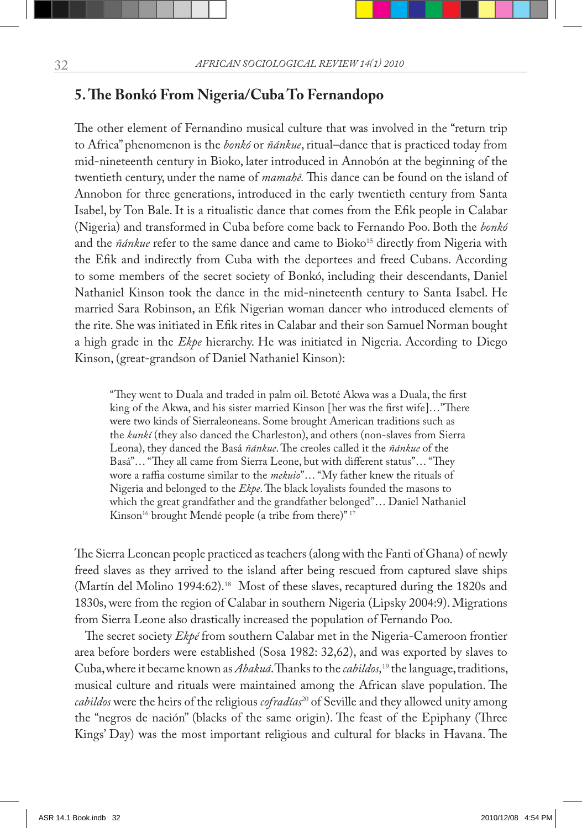#### **5. The Bonkó From Nigeria/Cuba To Fernandopo**

The other element of Fernandino musical culture that was involved in the "return trip to Africa" phenomenon is the *bonkó* or *ñánkue*, ritual–dance that is practiced today from mid-nineteenth century in Bioko, later introduced in Annobón at the beginning of the twentieth century, under the name of *mamahê.* This dance can be found on the island of Annobon for three generations, introduced in the early twentieth century from Santa Isabel, by Ton Bale. It is a ritualistic dance that comes from the Efik people in Calabar (Nigeria) and transformed in Cuba before come back to Fernando Poo. Both the *bonkó* and the *ñánkue* refer to the same dance and came to Bioko<sup>15</sup> directly from Nigeria with the Efik and indirectly from Cuba with the deportees and freed Cubans. According to some members of the secret society of Bonkó, including their descendants, Daniel Nathaniel Kinson took the dance in the mid-nineteenth century to Santa Isabel. He married Sara Robinson, an Efik Nigerian woman dancer who introduced elements of the rite. She was initiated in Efik rites in Calabar and their son Samuel Norman bought a high grade in the *Ekpe* hierarchy. He was initiated in Nigeria. According to Diego Kinson, (great-grandson of Daniel Nathaniel Kinson):

"They went to Duala and traded in palm oil. Betoté Akwa was a Duala, the first king of the Akwa, and his sister married Kinson [her was the first wife]…"There were two kinds of Sierraleoneans. Some brought American traditions such as the *kunkí* (they also danced the Charleston), and others (non-slaves from Sierra Leona), they danced the Basá *ñánkue*. The creoles called it the *ñánkue* of the Basá"… "They all came from Sierra Leone, but with different status"… "They wore a raffia costume similar to the *mekuio*"… "My father knew the rituals of Nigeria and belonged to the *Ekpe*. The black loyalists founded the masons to which the great grandfather and the grandfather belonged"… Daniel Nathaniel Kinson<sup>16</sup> brought Mendé people (a tribe from there)"<sup>17</sup>

The Sierra Leonean people practiced as teachers (along with the Fanti of Ghana) of newly freed slaves as they arrived to the island after being rescued from captured slave ships (Martín del Molino 1994:62).<sup>18</sup> Most of these slaves, recaptured during the 1820s and 1830s, were from the region of Calabar in southern Nigeria (Lipsky 2004:9). Migrations from Sierra Leone also drastically increased the population of Fernando Poo.

The secret society *Ekpé* from southern Calabar met in the Nigeria-Cameroon frontier area before borders were established (Sosa 1982: 32,62), and was exported by slaves to Cuba, where it became known as *Abakuá*. Thanks to the *cabildos,*<sup>19</sup> the language, traditions, musical culture and rituals were maintained among the African slave population. The *cabildos* were the heirs of the religious *cofradías*<sup>20</sup> of Seville and they allowed unity among the "negros de nación" (blacks of the same origin). The feast of the Epiphany (Three Kings' Day) was the most important religious and cultural for blacks in Havana. The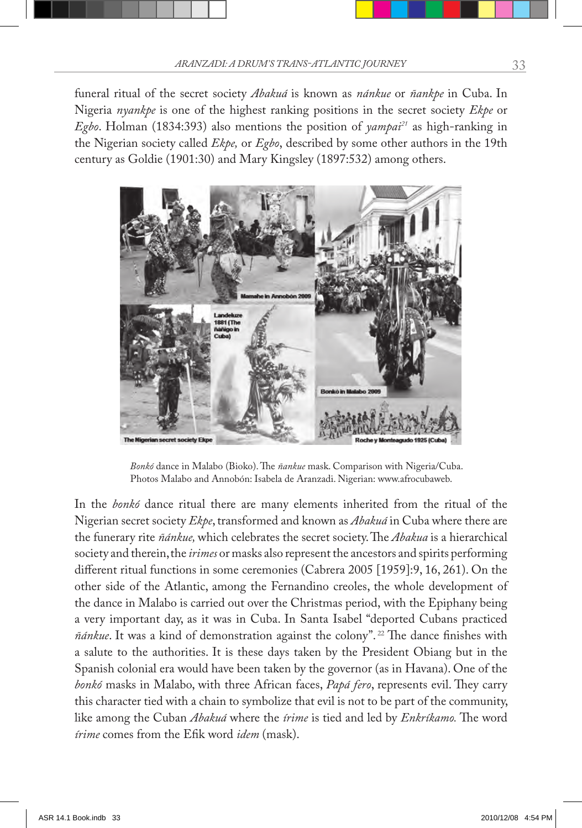funeral ritual of the secret society *Abakuá* is known as *nánkue* or *ñankpe* in Cuba. In Nigeria *nyankpe* is one of the highest ranking positions in the secret society *Ekpe* or *Egbo*. Holman (1834:393) also mentions the position of *yampai<sup>21</sup>* as high-ranking in the Nigerian society called *Ekpe,* or *Egbo*, described by some other authors in the 19th century as Goldie (1901:30) and Mary Kingsley (1897:532) among others.



*Bonkó* dance in Malabo (Bioko). The *ñankue* mask. Comparison with Nigeria/Cuba. Photos Malabo and Annobón: Isabela de Aranzadi. Nigerian: www.afrocubaweb.

In the *bonkó* dance ritual there are many elements inherited from the ritual of the Nigerian secret society *Ekpe*, transformed and known as *Abakuá* in Cuba where there are the funerary rite *ñánkue,* which celebrates the secret society. The *Abakua* is a hierarchical society and therein, the *irimes* or masks also represent the ancestors and spirits performing different ritual functions in some ceremonies (Cabrera 2005 [1959]:9, 16, 261). On the other side of the Atlantic, among the Fernandino creoles, the whole development of the dance in Malabo is carried out over the Christmas period, with the Epiphany being a very important day, as it was in Cuba. In Santa Isabel "deported Cubans practiced *ñánkue*. It was a kind of demonstration against the colony".<sup>22</sup> The dance finishes with a salute to the authorities. It is these days taken by the President Obiang but in the Spanish colonial era would have been taken by the governor (as in Havana). One of the *bonkó* masks in Malabo, with three African faces, *Papá fero*, represents evil. They carry this character tied with a chain to symbolize that evil is not to be part of the community, like among the Cuban *Abakuá* where the *írime* is tied and led by *Enkríkamo.* The word *írime* comes from the Efik word *idem* (mask).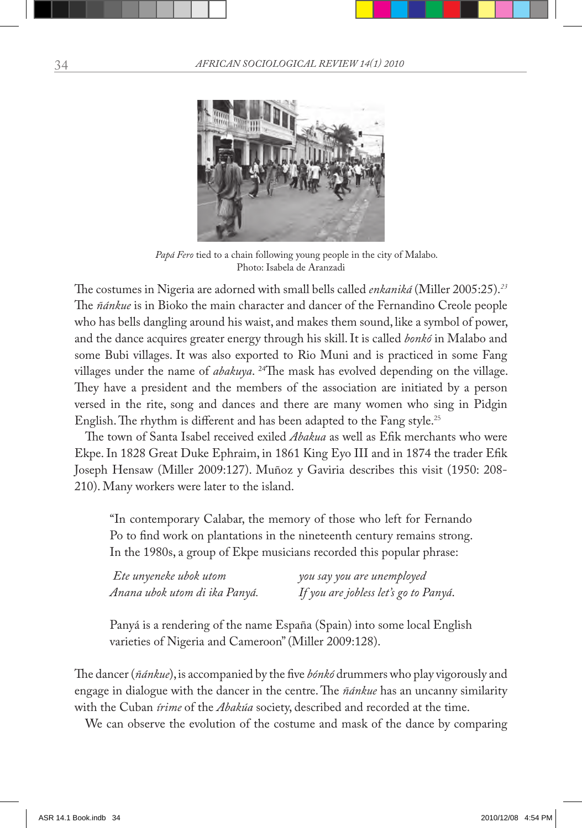

*Papá Fero* tied to a chain following young people in the city of Malabo. Photo: Isabela de Aranzadi

The costumes in Nigeria are adorned with small bells called *enkaniká* (Miller 2005:25).*<sup>23</sup>* The *ñánkue* is in Bioko the main character and dancer of the Fernandino Creole people who has bells dangling around his waist, and makes them sound, like a symbol of power, and the dance acquires greater energy through his skill. It is called *bonkó* in Malabo and some Bubi villages. It was also exported to Rio Muni and is practiced in some Fang villages under the name of *abakuya*. 24The mask has evolved depending on the village. They have a president and the members of the association are initiated by a person versed in the rite, song and dances and there are many women who sing in Pidgin English. The rhythm is different and has been adapted to the Fang style.<sup>25</sup>

The town of Santa Isabel received exiled *Abakua* as well as Efik merchants who were Ekpe. In 1828 Great Duke Ephraim, in 1861 King Eyo III and in 1874 the trader Efik Joseph Hensaw (Miller 2009:127). Muñoz y Gaviria describes this visit (1950: 208- 210). Many workers were later to the island.

"In contemporary Calabar, the memory of those who left for Fernando Po to find work on plantations in the nineteenth century remains strong. In the 1980s, a group of Ekpe musicians recorded this popular phrase:

| Ete unyeneke ubok utom        | you say you are unemployed            |
|-------------------------------|---------------------------------------|
| Anana ubok utom di ika Panyá. | If you are jobless let's go to Panyá. |

Panyá is a rendering of the name España (Spain) into some local English varieties of Nigeria and Cameroon" (Miller 2009:128).

The dancer (*ñánkue*), is accompanied by the five *bónkó* drummers who play vigorously and engage in dialogue with the dancer in the centre. The *ñánkue* has an uncanny similarity with the Cuban *írime* of the *Abakúa* society, described and recorded at the time.

We can observe the evolution of the costume and mask of the dance by comparing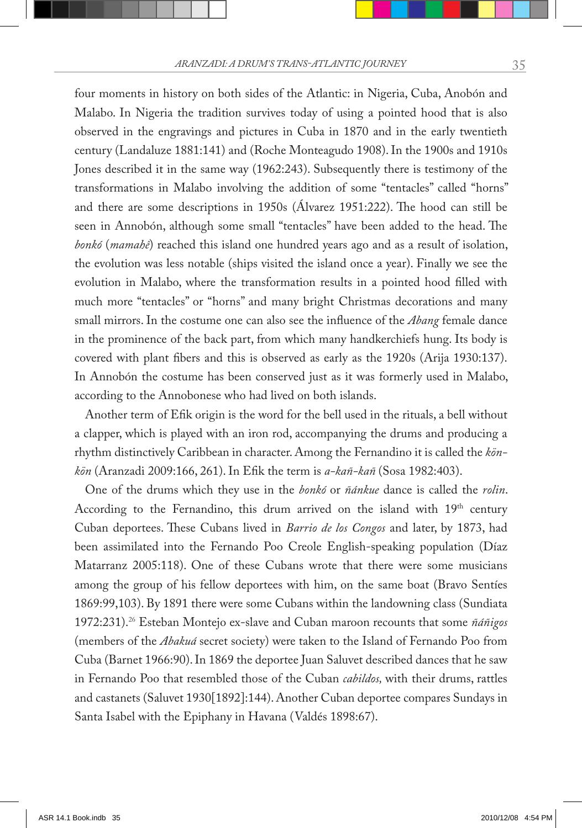#### *Ara nzadi : A Drum 'sTra ns-Atla ntic Jour ney* 35

four moments in history on both sides of the Atlantic: in Nigeria, Cuba, Anobón and Malabo. In Nigeria the tradition survives today of using a pointed hood that is also observed in the engravings and pictures in Cuba in 1870 and in the early twentieth century (Landaluze 1881:141) and (Roche Monteagudo 1908). In the 1900s and 1910s Jones described it in the same way (1962:243). Subsequently there is testimony of the transformations in Malabo involving the addition of some "tentacles" called "horns" and there are some descriptions in 1950s (Álvarez 1951:222). The hood can still be seen in Annobón, although some small "tentacles" have been added to the head. The *bonkó* (*mamahê*) reached this island one hundred years ago and as a result of isolation, the evolution was less notable (ships visited the island once a year). Finally we see the evolution in Malabo, where the transformation results in a pointed hood filled with much more "tentacles" or "horns" and many bright Christmas decorations and many small mirrors. In the costume one can also see the influence of the *Abang* female dance in the prominence of the back part, from which many handkerchiefs hung. Its body is covered with plant fibers and this is observed as early as the 1920s (Arija 1930:137). In Annobón the costume has been conserved just as it was formerly used in Malabo, according to the Annobonese who had lived on both islands.

Another term of Efik origin is the word for the bell used in the rituals, a bell without a clapper, which is played with an iron rod, accompanying the drums and producing a rhythm distinctively Caribbean in character. Among the Fernandino it is called the *könkön* (Aranzadi 2009:166, 261). In Efik the term is *a-kañ-kañ* (Sosa 1982:403).

One of the drums which they use in the *bonkó* or *ñánkue* dance is called the *rolin*. According to the Fernandino, this drum arrived on the island with  $19<sup>th</sup>$  century Cuban deportees. These Cubans lived in *Barrio de los Congos* and later, by 1873, had been assimilated into the Fernando Poo Creole English-speaking population (Díaz Matarranz 2005:118). One of these Cubans wrote that there were some musicians among the group of his fellow deportees with him, on the same boat (Bravo Sentíes 1869:99,103). By 1891 there were some Cubans within the landowning class (Sundiata 1972:231).<sup>26</sup> Esteban Montejo ex-slave and Cuban maroon recounts that some *ñáñigos*  (members of the *Abakuá* secret society) were taken to the Island of Fernando Poo from Cuba (Barnet 1966:90). In 1869 the deportee Juan Saluvet described dances that he saw in Fernando Poo that resembled those of the Cuban *cabildos,* with their drums, rattles and castanets (Saluvet 1930[1892]:144). Another Cuban deportee compares Sundays in Santa Isabel with the Epiphany in Havana (Valdés 1898:67).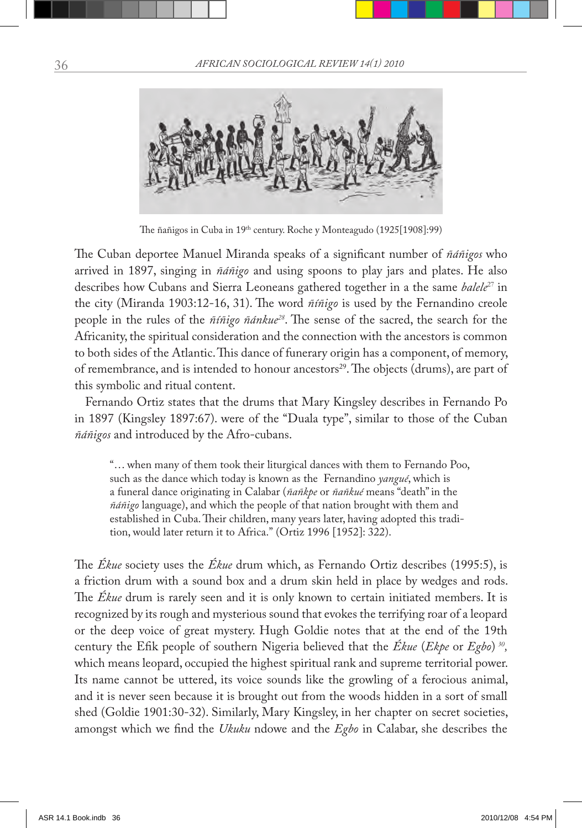

The ñañigos in Cuba in 19<sup>th</sup> century. Roche y Monteagudo (1925[1908]:99)

The Cuban deportee Manuel Miranda speaks of a significant number of *ñáñigos* who arrived in 1897, singing in *ñáñigo* and using spoons to play jars and plates. He also describes how Cubans and Sierra Leoneans gathered together in a the same *balele*<sup>27</sup> in the city (Miranda 1903:12-16, 31). The word *ñíñigo* is used by the Fernandino creole people in the rules of the *ñíñigo ñánkue<sup>28</sup>*. The sense of the sacred, the search for the Africanity, the spiritual consideration and the connection with the ancestors is common to both sides of the Atlantic. This dance of funerary origin has a component, of memory, of remembrance, and is intended to honour ancestors<sup>29</sup>. The objects (drums), are part of this symbolic and ritual content.

Fernando Ortiz states that the drums that Mary Kingsley describes in Fernando Po in 1897 (Kingsley 1897:67). were of the "Duala type", similar to those of the Cuban *ñáñigos* and introduced by the Afro-cubans.

"… when many of them took their liturgical dances with them to Fernando Poo, such as the dance which today is known as the Fernandino *yangué*, which is a funeral dance originating in Calabar (*ñañkpe* or *ñañkué* means "death" in the *ñáñigo* language), and which the people of that nation brought with them and established in Cuba. Their children, many years later, having adopted this tradition, would later return it to Africa." (Ortiz 1996 [1952]: 322).

The *Ékue* society uses the *Ékue* drum which, as Fernando Ortiz describes (1995:5), is a friction drum with a sound box and a drum skin held in place by wedges and rods. The *Ékue* drum is rarely seen and it is only known to certain initiated members. It is recognized by its rough and mysterious sound that evokes the terrifying roar of a leopard or the deep voice of great mystery. Hugh Goldie notes that at the end of the 19th century the Efik people of southern Nigeria believed that the *Ékue* (*Ekpe* or *Egbo*) *<sup>30</sup>,*  which means leopard, occupied the highest spiritual rank and supreme territorial power. Its name cannot be uttered, its voice sounds like the growling of a ferocious animal, and it is never seen because it is brought out from the woods hidden in a sort of small shed (Goldie 1901:30-32). Similarly, Mary Kingsley, in her chapter on secret societies, amongst which we find the *Ukuku* ndowe and the *Egbo* in Calabar, she describes the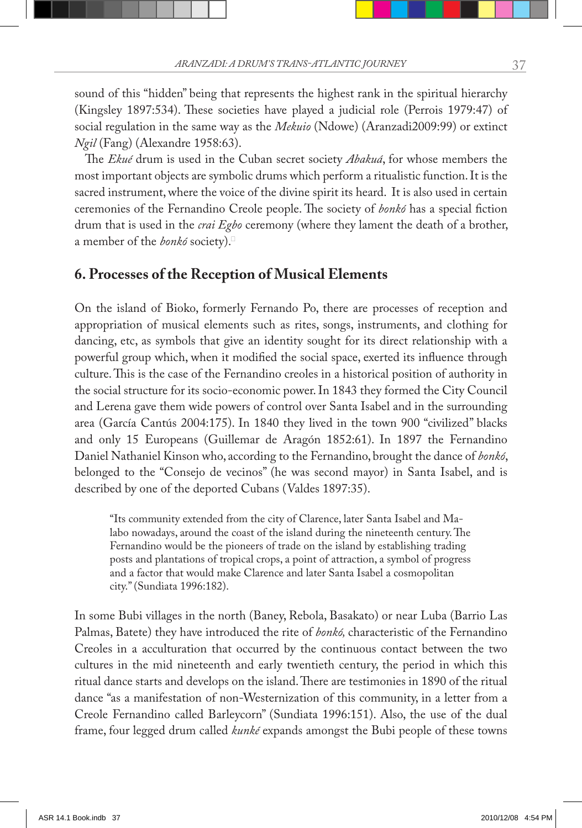sound of this "hidden" being that represents the highest rank in the spiritual hierarchy (Kingsley 1897:534). These societies have played a judicial role (Perrois 1979:47) of social regulation in the same way as the *Mekuio* (Ndowe) (Aranzadi2009:99) or extinct *Ngil* (Fang) (Alexandre 1958:63).

The *Ekué* drum is used in the Cuban secret society *Abakuá*, for whose members the most important objects are symbolic drums which perform a ritualistic function. It is the sacred instrument, where the voice of the divine spirit its heard. It is also used in certain ceremonies of the Fernandino Creole people. The society of *bonkó* has a special fiction drum that is used in the *crai Egbo* ceremony (where they lament the death of a brother, a member of the *bonkó* society).�

#### **6. Processes of the Reception of Musical Elements**

On the island of Bioko, formerly Fernando Po, there are processes of reception and appropriation of musical elements such as rites, songs, instruments, and clothing for dancing, etc, as symbols that give an identity sought for its direct relationship with a powerful group which, when it modified the social space, exerted its influence through culture. This is the case of the Fernandino creoles in a historical position of authority in the social structure for its socio-economic power. In 1843 they formed the City Council and Lerena gave them wide powers of control over Santa Isabel and in the surrounding area (García Cantús 2004:175). In 1840 they lived in the town 900 "civilized" blacks and only 15 Europeans (Guillemar de Aragón 1852:61). In 1897 the Fernandino Daniel Nathaniel Kinson who, according to the Fernandino, brought the dance of *bonkó*, belonged to the "Consejo de vecinos" (he was second mayor) in Santa Isabel, and is described by one of the deported Cubans (Valdes 1897:35).

"Its community extended from the city of Clarence, later Santa Isabel and Malabo nowadays, around the coast of the island during the nineteenth century. The Fernandino would be the pioneers of trade on the island by establishing trading posts and plantations of tropical crops, a point of attraction, a symbol of progress and a factor that would make Clarence and later Santa Isabel a cosmopolitan city." (Sundiata 1996:182).

In some Bubi villages in the north (Baney, Rebola, Basakato) or near Luba (Barrio Las Palmas, Batete) they have introduced the rite of *bonkó,* characteristic of the Fernandino Creoles in a acculturation that occurred by the continuous contact between the two cultures in the mid nineteenth and early twentieth century, the period in which this ritual dance starts and develops on the island. There are testimonies in 1890 of the ritual dance "as a manifestation of non-Westernization of this community, in a letter from a Creole Fernandino called Barleycorn" (Sundiata 1996:151). Also, the use of the dual frame, four legged drum called *kunké* expands amongst the Bubi people of these towns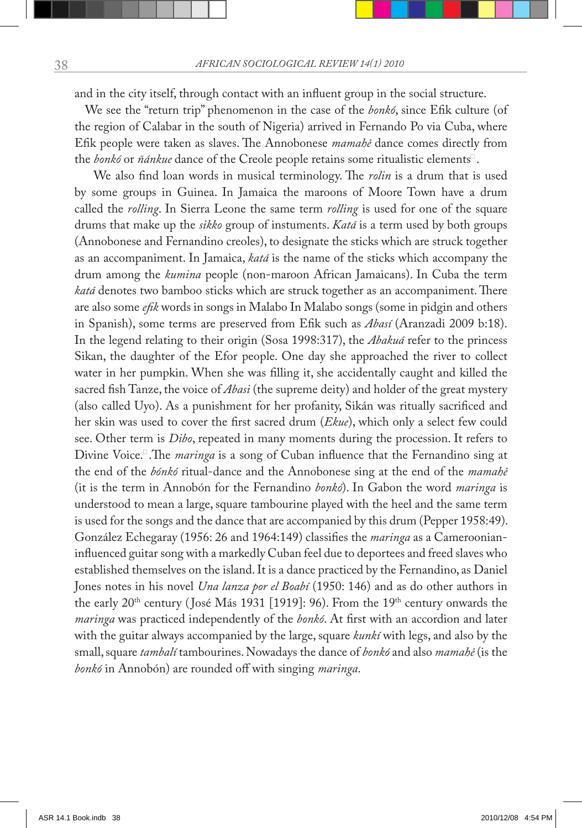and in the city itself, through contact with an influent group in the social structure.

We see the "return trip" phenomenon in the case of the *bonkó*, since Efik culture (of the region of Calabar in the south of Nigeria) arrived in Fernando Po via Cuba, where Efik people were taken as slaves. The Annobonese *mamahê* dance comes directly from the *bonkó* or *ñánkue* dance of the Creole people retains some ritualistic elements�.

 We also find loan words in musical terminology. The *rolin* is a drum that is used by some groups in Guinea. In Jamaica the maroons of Moore Town have a drum called the *rolling*. In Sierra Leone the same term *rolling* is used for one of the square drums that make up the *sikko* group of instuments. *Katá* is a term used by both groups (Annobonese and Fernandino creoles), to designate the sticks which are struck together as an accompaniment. In Jamaica, *katá* is the name of the sticks which accompany the drum among the *kumina* people (non-maroon African Jamaicans). In Cuba the term *katá* denotes two bamboo sticks which are struck together as an accompaniment. There are also some *efik* words in songs in Malabo In Malabo songs (some in pidgin and others in Spanish), some terms are preserved from Efik such as *Abasí* (Aranzadi 2009 b:18). In the legend relating to their origin (Sosa 1998:317), the *Abakuá* refer to the princess Sikan, the daughter of the Efor people. One day she approached the river to collect water in her pumpkin. When she was filling it, she accidentally caught and killed the sacred fish Tanze, the voice of *Abasi* (the supreme deity) and holder of the great mystery (also called Uyo). As a punishment for her profanity, Sikán was ritually sacrificed and her skin was used to cover the first sacred drum (*Ekue*), which only a select few could see. Other term is *Dibo*, repeated in many moments during the procession. It refers to Divine Voice.�.The *maringa* is a song of Cuban influence that the Fernandino sing at the end of the *bónkó* ritual-dance and the Annobonese sing at the end of the *mamahê*  (it is the term in Annobón for the Fernandino *bonkó*). In Gabon the word *maringa* is understood to mean a large, square tambourine played with the heel and the same term is used for the songs and the dance that are accompanied by this drum (Pepper 1958:49). González Echegaray (1956: 26 and 1964:149) classifies the *maringa* as a Cameroonianinfluenced guitar song with a markedly Cuban feel due to deportees and freed slaves who established themselves on the island. It is a dance practiced by the Fernandino, as Daniel Jones notes in his novel *Una lanza por el Boabí* (1950: 146) and as do other authors in the early  $20<sup>th</sup>$  century (José Más 1931 [1919]: 96). From the  $19<sup>th</sup>$  century onwards the *maringa* was practiced independently of the *bonkó*. At first with an accordion and later with the guitar always accompanied by the large, square *kunkí* with legs, and also by the small, square *tambalí* tambourines. Nowadays the dance of *bonkó* and also *mamahê* (is the *bonkó* in Annobón) are rounded off with singing *maringa*.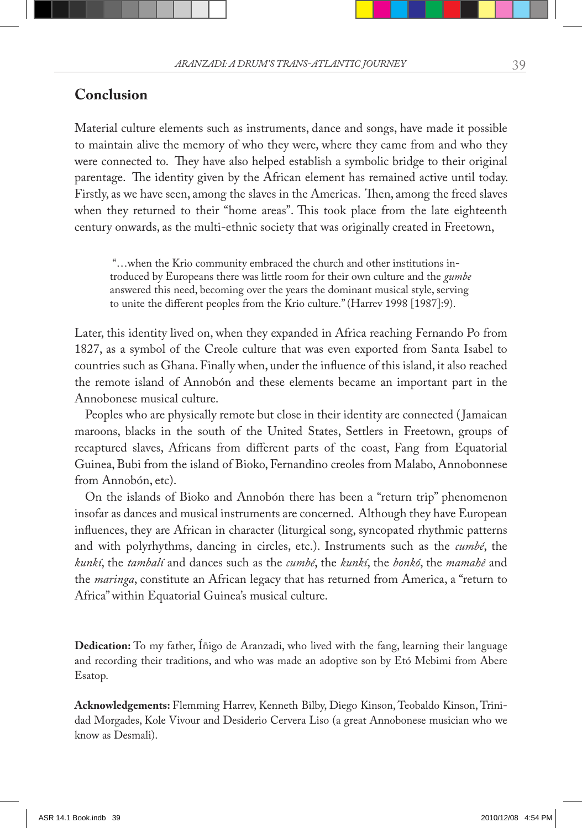## **Conclusion**

Material culture elements such as instruments, dance and songs, have made it possible to maintain alive the memory of who they were, where they came from and who they were connected to. They have also helped establish a symbolic bridge to their original parentage. The identity given by the African element has remained active until today. Firstly, as we have seen, among the slaves in the Americas. Then, among the freed slaves when they returned to their "home areas". This took place from the late eighteenth century onwards, as the multi-ethnic society that was originally created in Freetown,

 "…when the Krio community embraced the church and other institutions introduced by Europeans there was little room for their own culture and the *gumbe* answered this need, becoming over the years the dominant musical style, serving to unite the different peoples from the Krio culture." (Harrev 1998 [1987]:9).

Later, this identity lived on, when they expanded in Africa reaching Fernando Po from 1827, as a symbol of the Creole culture that was even exported from Santa Isabel to countries such as Ghana. Finally when, under the influence of this island, it also reached the remote island of Annobón and these elements became an important part in the Annobonese musical culture.

Peoples who are physically remote but close in their identity are connected ( Jamaican maroons, blacks in the south of the United States, Settlers in Freetown, groups of recaptured slaves, Africans from different parts of the coast, Fang from Equatorial Guinea, Bubi from the island of Bioko, Fernandino creoles from Malabo, Annobonnese from Annobón, etc).

On the islands of Bioko and Annobón there has been a "return trip" phenomenon insofar as dances and musical instruments are concerned. Although they have European influences, they are African in character (liturgical song, syncopated rhythmic patterns and with polyrhythms, dancing in circles, etc.). Instruments such as the *cumbé*, the *kunkí*, the *tambalí* and dances such as the *cumbé*, the *kunkí*, the *bonkó*, the *mamahê* and the *maringa*, constitute an African legacy that has returned from America, a "return to Africa" within Equatorial Guinea's musical culture.

**Dedication:** To my father, Íñigo de Aranzadi, who lived with the fang, learning their language and recording their traditions, and who was made an adoptive son by Etó Mebimi from Abere Esatop.

**Acknowledgements:** Flemming Harrev, Kenneth Bilby, Diego Kinson, Teobaldo Kinson, Trinidad Morgades, Kole Vivour and Desiderio Cervera Liso (a great Annobonese musician who we know as Desmali).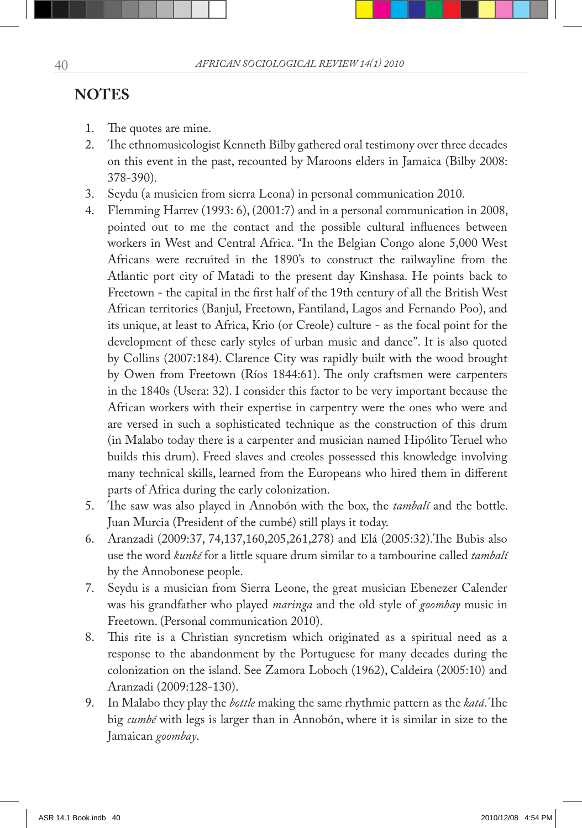# **NOTES**

- 1. The quotes are mine.
- 2. The ethnomusicologist Kenneth Bilby gathered oral testimony over three decades on this event in the past, recounted by Maroons elders in Jamaica (Bilby 2008: 378-390).
- 3. Seydu (a musicien from sierra Leona) in personal communication 2010.
- 4. Flemming Harrev (1993: 6), (2001:7) and in a personal communication in 2008, pointed out to me the contact and the possible cultural influences between workers in West and Central Africa. "In the Belgian Congo alone 5,000 West Africans were recruited in the 1890's to construct the railwayline from the Atlantic port city of Matadi to the present day Kinshasa. He points back to Freetown - the capital in the first half of the 19th century of all the British West African territories (Banjul, Freetown, Fantiland, Lagos and Fernando Poo), and its unique, at least to Africa, Krio (or Creole) culture - as the focal point for the development of these early styles of urban music and dance". It is also quoted by Collins (2007:184). Clarence City was rapidly built with the wood brought by Owen from Freetown (Ríos 1844:61). The only craftsmen were carpenters in the 1840s (Usera: 32). I consider this factor to be very important because the African workers with their expertise in carpentry were the ones who were and are versed in such a sophisticated technique as the construction of this drum (in Malabo today there is a carpenter and musician named Hipólito Teruel who builds this drum). Freed slaves and creoles possessed this knowledge involving many technical skills, learned from the Europeans who hired them in different parts of Africa during the early colonization.
- 5. The saw was also played in Annobón with the box, the *tambalí* and the bottle. Juan Murcia (President of the cumbé) still plays it today.
- 6. Aranzadi (2009:37, 74,137,160,205,261,278) and Elá (2005:32).The Bubis also use the word *kunké* for a little square drum similar to a tambourine called *tambalí* by the Annobonese people.
- 7. Seydu is a musician from Sierra Leone, the great musician Ebenezer Calender was his grandfather who played *maringa* and the old style of *goombay* music in Freetown. (Personal communication 2010).
- 8. This rite is a Christian syncretism which originated as a spiritual need as a response to the abandonment by the Portuguese for many decades during the colonization on the island. See Zamora Loboch (1962), Caldeira (2005:10) and Aranzadi (2009:128-130).
- 9. In Malabo they play the *bottle* making the same rhythmic pattern as the *katá*. The big *cumbé* with legs is larger than in Annobón, where it is similar in size to the Jamaican *goombay*.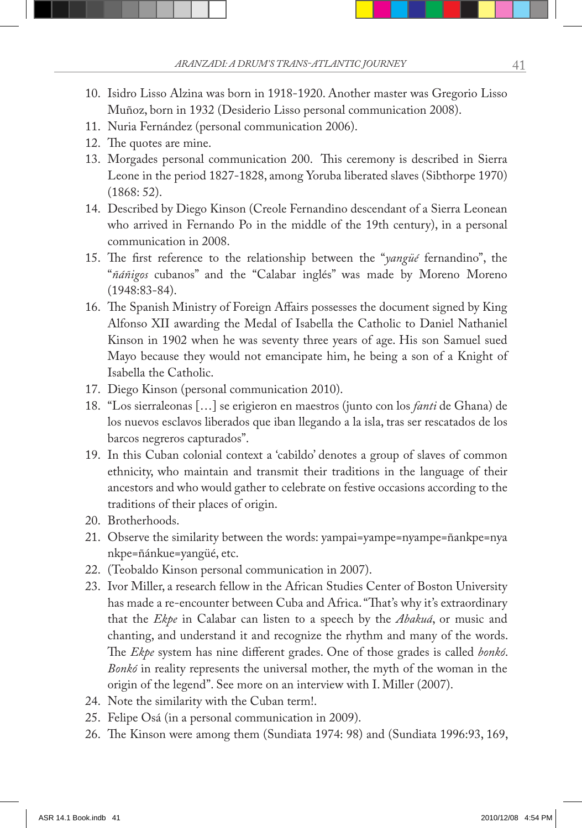- 10. Isidro Lisso Alzina was born in 1918-1920. Another master was Gregorio Lisso Muñoz, born in 1932 (Desiderio Lisso personal communication 2008).
- 11. Nuria Fernández (personal communication 2006).
- 12. The quotes are mine.
- 13. Morgades personal communication 200. This ceremony is described in Sierra Leone in the period 1827-1828, among Yoruba liberated slaves (Sibthorpe 1970) (1868: 52).
- 14. Described by Diego Kinson (Creole Fernandino descendant of a Sierra Leonean who arrived in Fernando Po in the middle of the 19th century), in a personal communication in 2008.
- 15. The first reference to the relationship between the "*yangüé* fernandino", the "*ñáñigos* cubanos" and the "Calabar inglés" was made by Moreno Moreno (1948:83-84).
- 16. The Spanish Ministry of Foreign Affairs possesses the document signed by King Alfonso XII awarding the Medal of Isabella the Catholic to Daniel Nathaniel Kinson in 1902 when he was seventy three years of age. His son Samuel sued Mayo because they would not emancipate him, he being a son of a Knight of Isabella the Catholic.
- 17. Diego Kinson (personal communication 2010).
- 18. "Los sierraleonas […] se erigieron en maestros (junto con los *fanti* de Ghana) de los nuevos esclavos liberados que iban llegando a la isla, tras ser rescatados de los barcos negreros capturados".
- 19. In this Cuban colonial context a 'cabildo' denotes a group of slaves of common ethnicity, who maintain and transmit their traditions in the language of their ancestors and who would gather to celebrate on festive occasions according to the traditions of their places of origin.
- 20. Brotherhoods.
- 21. Observe the similarity between the words: yampai=yampe=nyampe=ñankpe=nya nkpe=ñánkue=yangüé, etc.
- 22. (Teobaldo Kinson personal communication in 2007).
- 23. Ivor Miller, a research fellow in the African Studies Center of Boston University has made a re-encounter between Cuba and Africa. "That's why it's extraordinary that the *Ekpe* in Calabar can listen to a speech by the *Abakuá*, or music and chanting, and understand it and recognize the rhythm and many of the words. The *Ekpe* system has nine different grades. One of those grades is called *bonkó*. *Bonkó* in reality represents the universal mother, the myth of the woman in the origin of the legend". See more on an interview with I. Miller (2007).
- 24. Note the similarity with the Cuban term!.
- 25. Felipe Osá (in a personal communication in 2009).
- 26. The Kinson were among them (Sundiata 1974: 98) and (Sundiata 1996:93, 169,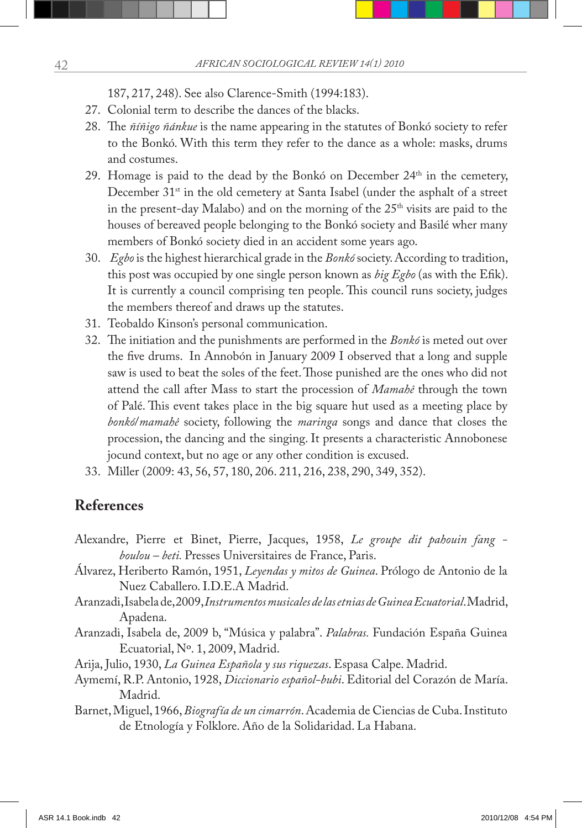187, 217, 248). See also Clarence-Smith (1994:183).

- 27. Colonial term to describe the dances of the blacks.
- 28. The *ñíñigo ñánkue* is the name appearing in the statutes of Bonkó society to refer to the Bonkó. With this term they refer to the dance as a whole: masks, drums and costumes.
- 29. Homage is paid to the dead by the Bonkó on December 24<sup>th</sup> in the cemetery, December  $31<sup>st</sup>$  in the old cemetery at Santa Isabel (under the asphalt of a street in the present-day Malabo) and on the morning of the  $25<sup>th</sup>$  visits are paid to the houses of bereaved people belonging to the Bonkó society and Basilé wher many members of Bonkó society died in an accident some years ago.
- 30. *Egbo* is the highest hierarchical grade in the *Bonkó* society. According to tradition, this post was occupied by one single person known as *big Egbo* (as with the Efik). It is currently a council comprising ten people. This council runs society, judges the members thereof and draws up the statutes.
- 31. Teobaldo Kinson's personal communication.
- 32. The initiation and the punishments are performed in the *Bonkó* is meted out over the five drums. In Annobón in January 2009 I observed that a long and supple saw is used to beat the soles of the feet. Those punished are the ones who did not attend the call after Mass to start the procession of *Mamahê* through the town of Palé. This event takes place in the big square hut used as a meeting place by *bonkó*/*mamahê* society, following the *maringa* songs and dance that closes the procession, the dancing and the singing. It presents a characteristic Annobonese jocund context, but no age or any other condition is excused.
- 33. Miller (2009: 43, 56, 57, 180, 206. 211, 216, 238, 290, 349, 352).

#### **References**

- Alexandre, Pierre et Binet, Pierre, Jacques, 1958, *Le groupe dit pahouin fang boulou – beti.* Presses Universitaires de France, Paris.
- Álvarez, Heriberto Ramón, 1951, *Leyendas y mitos de Guinea*. Prólogo de Antonio de la Nuez Caballero. I.D.E.A Madrid.
- Aranzadi, Isabela de, 2009, *Instrumentos musicales de las etnias de Guinea Ecuatorial*. Madrid, Apadena.
- Aranzadi, Isabela de, 2009 b, "Música y palabra". *Palabras.* Fundación España Guinea Ecuatorial, Nº. 1, 2009, Madrid.
- Arija, Julio, 1930, *La Guinea Española y sus riquezas*. Espasa Calpe. Madrid.
- Aymemí, R.P. Antonio, 1928, *Diccionario español-bubi*. Editorial del Corazón de María. Madrid.
- Barnet, Miguel, 1966, *Biografía de un cimarrón*. Academia de Ciencias de Cuba. Instituto de Etnología y Folklore. Año de la Solidaridad. La Habana.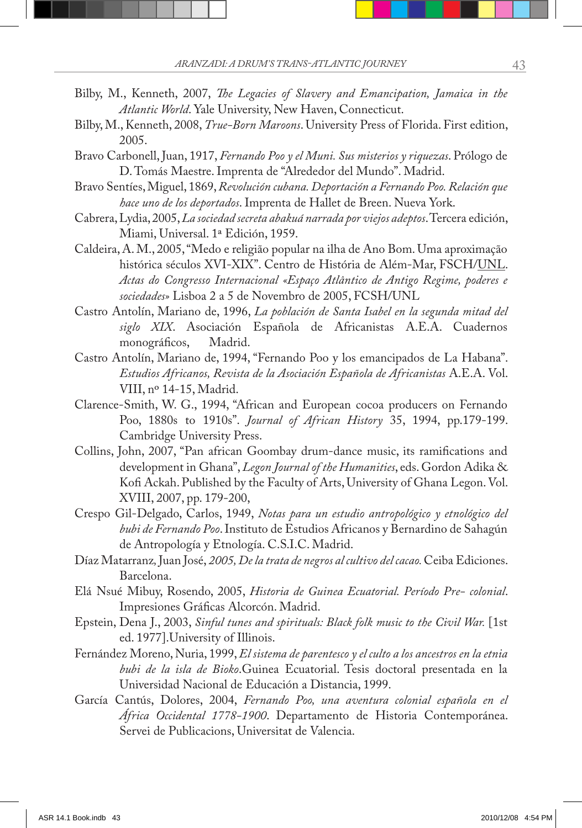- Bilby, M., Kenneth, 2007, *The Legacies of Slavery and Emancipation, Jamaica in the Atlantic World*. Yale University, New Haven, Connecticut.
- Bilby, M., Kenneth, 2008, *True-Born Maroons*. University Press of Florida. First edition, 2005.
- Bravo Carbonell, Juan, 1917, *Fernando Poo y el Muni. Sus misterios y riquezas*. Prólogo de D. Tomás Maestre. Imprenta de "Alrededor del Mundo". Madrid.
- Bravo Sentíes, Miguel, 1869, *Revolución cubana. Deportación a Fernando Poo. Relación que hace uno de los deportados*. Imprenta de Hallet de Breen. Nueva York.
- Cabrera, Lydia, 2005, *La sociedad secreta abakuá narrada por viejos adeptos*. Tercera edición, Miami, Universal. 1ª Edición, 1959.
- Caldeira, A. M., 2005, "Medo e religião popular na ilha de Ano Bom. Uma aproximação histórica séculos XVI-XIX". Centro de História de Além-Mar, FSCH/UNL. *Actas do Congresso Internacional «Espaço Atlântico de Antigo Regime, poderes e sociedades»* Lisboa 2 a 5 de Novembro de 2005, FCSH/UNL
- Castro Antolín, Mariano de, 1996, *La población de Santa Isabel en la segunda mitad del siglo XIX*. Asociación Española de Africanistas A.E.A. Cuadernos monográficos, Madrid.
- Castro Antolín, Mariano de, 1994, "Fernando Poo y los emancipados de La Habana". *Estudios Africanos, Revista de la Asociación Española de Africanistas* A.E.A. Vol. VIII, nº 14-15, Madrid.
- Clarence-Smith, W. G., 1994, "African and European cocoa producers on Fernando Poo, 1880s to 1910s". *Journal of African History* 35, 1994, pp.179-199. Cambridge University Press.
- Collins, John, 2007, "Pan african Goombay drum-dance music, its ramifications and development in Ghana", *Legon Journal of the Humanities*, eds. Gordon Adika & Kofi Ackah. Published by the Faculty of Arts, University of Ghana Legon. Vol. XVIII, 2007, pp. 179-200,
- Crespo Gil-Delgado, Carlos, 1949, *Notas para un estudio antropológico y etnológico del bubi de Fernando Poo*. Instituto de Estudios Africanos y Bernardino de Sahagún de Antropología y Etnología. C.S.I.C. Madrid.
- Díaz Matarranz*,* Juan José, *2005, De la trata de negros al cultivo del cacao.* Ceiba Ediciones. Barcelona.
- Elá Nsué Mibuy, Rosendo, 2005, *Historia de Guinea Ecuatorial. Período Pre- colonial*. Impresiones Gráficas Alcorcón. Madrid.
- Epstein, Dena J., 2003, *Sinful tunes and spirituals: Black folk music to the Civil War.* [1st] ed. 1977].University of Illinois.
- Fernández Moreno, Nuria, 1999, *El sistema de parentesco y el culto a los ancestros en la etnia bubi de la isla de Bioko*.Guinea Ecuatorial. Tesis doctoral presentada en la Universidad Nacional de Educación a Distancia, 1999.
- García Cantús, Dolores, 2004, *Fernando Poo, una aventura colonial española en el África Occidental 1778-1900*. Departamento de Historia Contemporánea. Servei de Publicacions, Universitat de Valencia.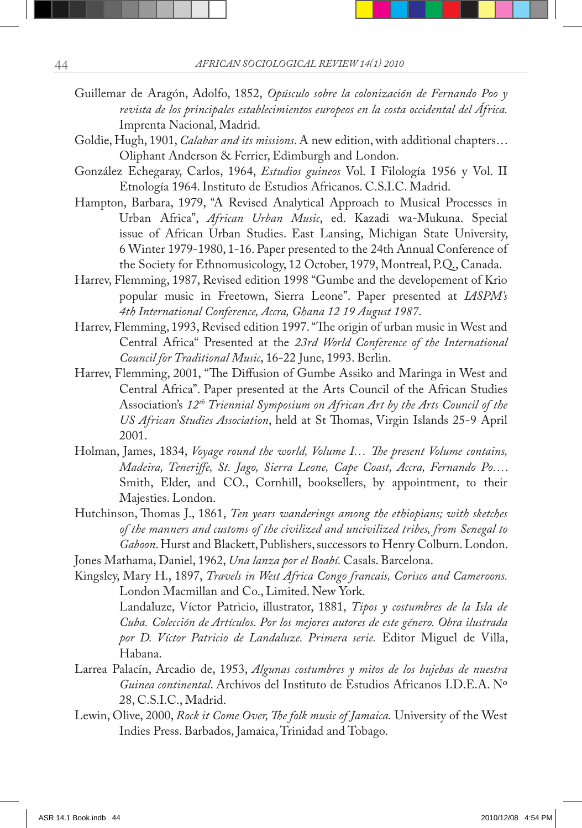- Guillemar de Aragón, Adolfo, 1852, *Opúsculo sobre la colonización de Fernando Poo y revista de los principales establecimientos europeos en la costa occidental del África.*  Imprenta Nacional, Madrid.
- Goldie, Hugh, 1901, *Calabar and its missions*. A new edition, with additional chapters… Oliphant Anderson & Ferrier, Edimburgh and London.
- González Echegaray, Carlos, 1964, *Estudios guineos* Vol. I Filología 1956 y Vol. II Etnología 1964. Instituto de Estudios Africanos. C.S.I.C. Madrid.
- Hampton, Barbara, 1979, "A Revised Analytical Approach to Musical Processes in Urban Africa", *African Urban Music*, ed. Kazadi wa-Mukuna. Special issue of African Urban Studies. East Lansing, Michigan State University, 6 Winter 1979-1980, 1-16. Paper presented to the 24th Annual Conference of the Society for Ethnomusicology, 12 October, 1979, Montreal, P.Q., Canada.
- Harrev, Flemming, 1987, Revised edition 1998 "Gumbe and the developement of Krio popular music in Freetown, Sierra Leone". Paper presented at *IASPM's 4th International Conference, Accra, Ghana 12 19 August 1987*.
- Harrev, Flemming, 1993, Revised edition 1997. "The origin of urban music in West and Central Africa" Presented at the *23rd World Conference of the International Council for Traditional Music*, 16-22 June, 1993. Berlin.
- Harrev, Flemming, 2001, "The Diffusion of Gumbe Assiko and Maringa in West and Central Africa". Paper presented at the Arts Council of the African Studies Association's *12th Triennial Symposium on African Art by the Arts Council of the US African Studies Association*, held at St Thomas, Virgin Islands 25-9 April 2001.
- Holman, James, 1834, *Voyage round the world, Volume I… The present Volume contains, Madeira, Teneriffe, St. Jago, Sierra Leone, Cape Coast, Accra, Fernando Po…*. Smith, Elder, and CO., Cornhill, booksellers, by appointment, to their Majesties. London.
- Hutchinson, Thomas J., 1861, *Ten years wanderings among the ethiopians; with sketches of the manners and customs of the civilized and uncivilized tribes, from Senegal to Gaboon*. Hurst and Blackett, Publishers, successors to Henry Colburn. London.
- Jones Mathama, Daniel, 1962, *Una lanza por el Boabí.* Casals. Barcelona.
- Kingsley, Mary H., 1897, *Travels in West Africa Congo francais, Corisco and Cameroons.*  London Macmillan and Co., Limited. New York. Landaluze, Víctor Patricio, illustrator, 1881, *Tipos y costumbres de la Isla de Cuba. Colección de Artículos. Por los mejores autores de este género. Obra ilustrada por D. Víctor Patricio de Landaluze. Primera serie.* Editor Miguel de Villa, Habana.
- Larrea Palacín, Arcadio de, 1953, *Algunas costumbres y mitos de los bujebas de nuestra Guinea continental*. Archivos del Instituto de Estudios Africanos I.D.E.A. Nº 28, C.S.I.C., Madrid.
- Lewin, Olive, 2000, *Rock it Come Over, The folk music of Jamaica.* University of the West Indies Press. Barbados, Jamaica, Trinidad and Tobago.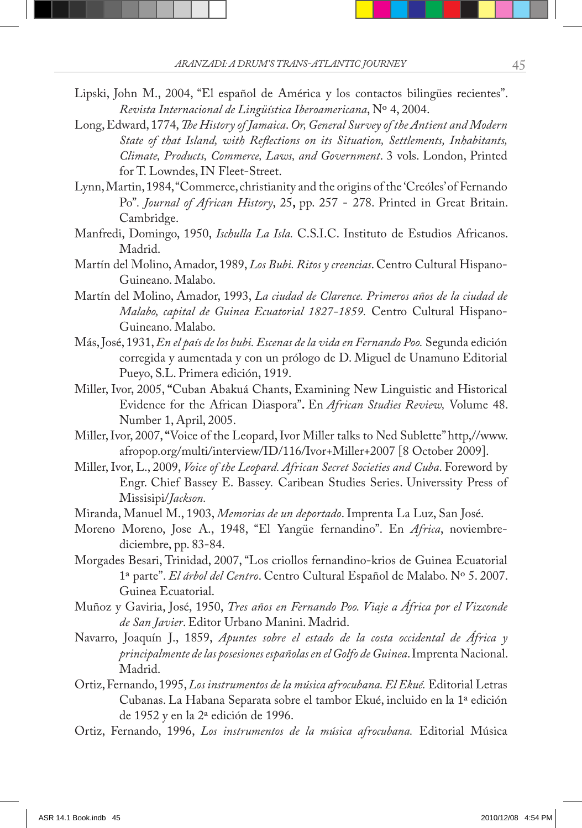- Lipski, John M., 2004, "El español de América y los contactos bilingües recientes". *Revista Internacional de Lingüística Iberoamericana*, Nº 4, 2004.
- Long, Edward, 1774, *The History of Jamaica*. *Or, General Survey of the Antient and Modern State of that Island, with Reflections on its Situation, Settlements, Inhabitants, Climate, Products, Commerce, Laws, and Government*. 3 vols. London, Printed for T. Lowndes, IN Fleet-Street.
- Lynn, Martin, 1984, "Commerce, christianity and the origins of the 'Creóles' of Fernando Po"*. Journal of African History*, 25**,** pp. 257 - 278. Printed in Great Britain. Cambridge.
- Manfredi, Domingo, 1950, *Ischulla La Isla.* C.S.I.C. Instituto de Estudios Africanos. Madrid.
- Martín del Molino, Amador, 1989, *Los Bubi. Ritos y creencias*. Centro Cultural Hispano-Guineano. Malabo.
- Martín del Molino, Amador, 1993, *La ciudad de Clarence. Primeros años de la ciudad de Malabo, capital de Guinea Ecuatorial 1827-1859.* Centro Cultural Hispano-Guineano. Malabo.
- Más, José, 1931, *En el país de los bubi. Escenas de la vida en Fernando Poo.* Segunda edición corregida y aumentada y con un prólogo de D. Miguel de Unamuno Editorial Pueyo, S.L. Primera edición, 1919.
- Miller, Ivor, 2005, **"**Cuban Abakuá Chants, Examining New Linguistic and Historical Evidence for the African Diaspora"**.** En *African Studies Review,* Volume 48. Number 1, April, 2005.
- Miller, Ivor, 2007, **"**Voice of the Leopard, Ivor Miller talks to Ned Sublette" http,//www. afropop.org/multi/interview/ID/116/Ivor+Miller+2007 [8 October 2009].
- Miller, Ivor, L., 2009, *Voice of the Leopard. African Secret Societies and Cuba*. Foreword by Engr. Chief Bassey E. Bassey*.* Caribean Studies Series. Universsity Press of Missisipi/*Jackson.*
- Miranda, Manuel M., 1903, *Memorias de un deportado*. Imprenta La Luz, San José.
- Moreno Moreno, Jose A., 1948, "El Yangüe fernandino". En *Africa*, noviembrediciembre, pp. 83-84.
- Morgades Besari, Trinidad, 2007, "Los criollos fernandino-krios de Guinea Ecuatorial 1ª parte". *El árbol del Centro*. Centro Cultural Español de Malabo. Nº 5. 2007. Guinea Ecuatorial.
- Muñoz y Gaviria, José, 1950, *Tres años en Fernando Poo. Viaje a África por el Vizconde de San Javier*. Editor Urbano Manini. Madrid.
- Navarro, Joaquín J., 1859, *Apuntes sobre el estado de la costa occidental de África y principalmente de las posesiones españolas en el Golfo de Guinea*. Imprenta Nacional. Madrid.
- Ortiz, Fernando, 1995, *Los instrumentos de la música afrocubana. El Ekué.* Editorial Letras Cubanas. La Habana Separata sobre el tambor Ekué, incluido en la 1ª edición de 1952 y en la 2ª edición de 1996.
- Ortiz, Fernando, 1996, *Los instrumentos de la música afrocubana.* Editorial Música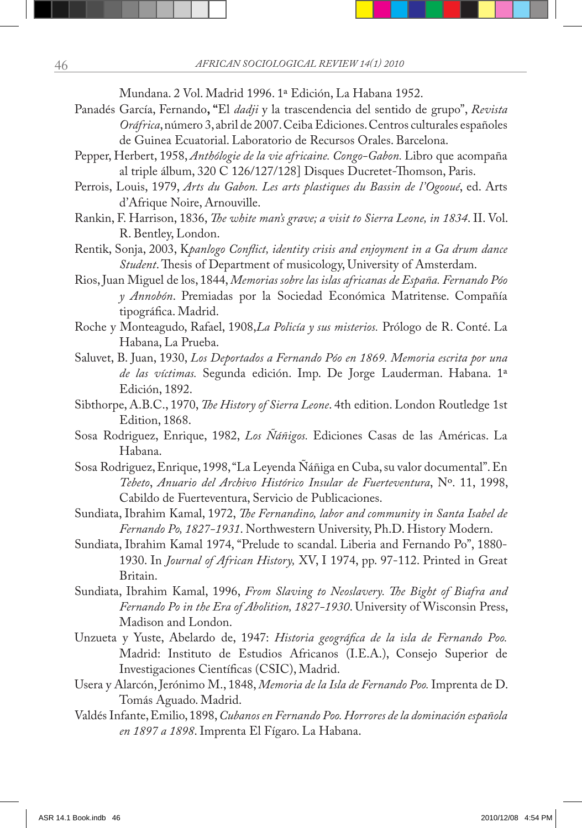Mundana. 2 Vol. Madrid 1996. 1ª Edición, La Habana 1952.

- Panadés García, Fernando**, "**El *dadji* y la trascendencia del sentido de grupo", *Revista Oráfrica*, número 3, abril de 2007. Ceiba Ediciones. Centros culturales españoles de Guinea Ecuatorial. Laboratorio de Recursos Orales. Barcelona.
- Pepper, Herbert, 1958, *Anthólogie de la vie africaine. Congo-Gabon.* Libro que acompaña al triple álbum, 320 C 126/127/128] Disques Ducretet-Thomson, Paris.
- Perrois, Louis, 1979, *Arts du Gabon. Les arts plastiques du Bassin de l'Ogooué*, ed. Arts d'Afrique Noire, Arnouville.
- Rankin, F. Harrison, 1836, *The white man's grave; a visit to Sierra Leone, in 1834*. II. Vol. R. Bentley, London.
- Rentik, Sonja, 2003, K*panlogo Conflict, identity crisis and enjoyment in a Ga drum dance Student*. Thesis of Department of musicology, University of Amsterdam.
- Rios, Juan Miguel de los, 1844, *Memorias sobre las islas africanas de España. Fernando Póo y Annobón*. Premiadas por la Sociedad Económica Matritense. Compañía tipográfica. Madrid.
- Roche y Monteagudo, Rafael, 1908,*La Policía y sus misterios.* Prólogo de R. Conté. La Habana, La Prueba.
- Saluvet, B. Juan, 1930, *Los Deportados a Fernando Póo en 1869. Memoria escrita por una de las víctimas.* Segunda edición. Imp. De Jorge Lauderman. Habana. 1ª Edición, 1892.
- Sibthorpe, A.B.C., 1970, *The History of Sierra Leone*. 4th edition. London Routledge 1st Edition, 1868.
- Sosa Rodriguez, Enrique, 1982, *Los Ñáñigos.* Ediciones Casas de las Américas. La Habana.
- Sosa Rodriguez, Enrique, 1998, "La Leyenda Ñáñiga en Cuba, su valor documental". En *Tebeto*, *Anuario del Archivo Histórico Insular de Fuerteventura*, Nº. 11, 1998, Cabildo de Fuerteventura, Servicio de Publicaciones.
- Sundiata, Ibrahim Kamal, 1972, *The Fernandino, labor and community in Santa Isabel de Fernando Po, 1827-1931*. Northwestern University, Ph.D. History Modern.
- Sundiata, Ibrahim Kamal 1974, "Prelude to scandal. Liberia and Fernando Po", 1880- 1930. In *Journal of African History,* XV, I 1974, pp. 97-112. Printed in Great Britain.
- Sundiata, Ibrahim Kamal, 1996, *From Slaving to Neoslavery. The Bight of Biafra and Fernando Po in the Era of Abolition, 1827-1930*. University of Wisconsin Press, Madison and London.
- Unzueta y Yuste, Abelardo de, 1947: *Historia geográfica de la isla de Fernando Poo.* Madrid: Instituto de Estudios Africanos (I.E.A.), Consejo Superior de Investigaciones Científicas (CSIC), Madrid.
- Usera y Alarcón, Jerónimo M., 1848, *Memoria de la Isla de Fernando Poo.* Imprenta de D. Tomás Aguado. Madrid.
- Valdés Infante, Emilio, 1898, *Cubanos en Fernando Poo. Horrores de la dominación española en 1897 a 1898*. Imprenta El Fígaro. La Habana.